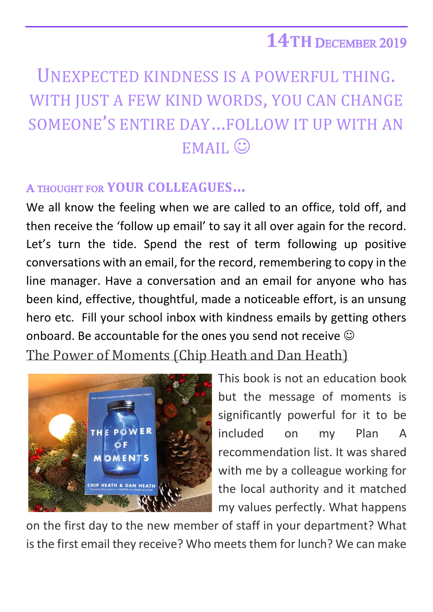## **14TH** DECEMBER 2019

## UNEXPECTED KINDNESS IS A POWERFUL THING. WITH JUST A FEW KIND WORDS, YOU CAN CHANGE SOMEONE'S ENTIRE DAY…FOLLOW IT UP WITH AN EMAIL<sup>C</sup>

## A THOUGHT FOR **YOUR COLLEAGUES…**

We all know the feeling when we are called to an office, told off, and then receive the 'follow up email' to say it all over again for the record. Let's turn the tide. Spend the rest of term following up positive conversations with an email, for the record, remembering to copy in the line manager. Have a conversation and an email for anyone who has been kind, effective, thoughtful, made a noticeable effort, is an unsung hero etc. Fill your school inbox with kindness emails by getting others onboard. Be accountable for the ones you send not receive  $\odot$ The Power of Moments (Chip Heath and Dan Heath)



This book is not an education book but the message of moments is significantly powerful for it to be included on my Plan A recommendation list. It was shared with me by a colleague working for the local authority and it matched my values perfectly. What happens

on the first day to the new member of staff in your department? What is the first email they receive? Who meets them for lunch? We can make